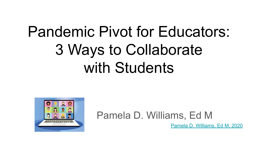# Pandemic Pivot for Educators: 3 Ways to Collaborate with Students



#### Pamela D. Williams, Ed M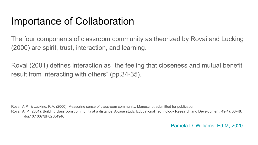#### Importance of Collaboration

The four components of classroom community as theorized by Rovai and Lucking (2000) are spirit, trust, interaction, and learning.

Rovai (2001) defines interaction as "the feeling that closeness and mutual benefit result from interacting with others" (pp.34-35).

Rovai, A.P., & Lucking, R.A. (2000). Measuring sense of classroom community. Manuscript submitted for publication Rovai, A. P. (2001). Building classroom community at a distance: A case study. Educational Technology Research and Development, 49(4), 33-48. doi:10.1007/BF02504946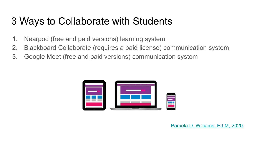## 3 Ways to Collaborate with Students

- 1. Nearpod (free and paid versions) learning system
- 2. Blackboard Collaborate (requires a paid license) communication system
- 3. Google Meet (free and paid versions) communication system

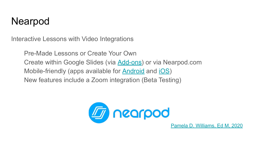#### Nearpod

Interactive Lessons with Video Integrations

Pre-Made Lessons or Create Your Own Create within Google Slides (via [Add-ons](https://gsuite.google.com/marketplace/app/nearpod/501359647293)) or via Nearpod.com Mobile-friendly (apps available for [Android](https://play.google.com/store/apps/details?id=com.panareadigital.Nearpod&hl=en_US&gl=US) and [iOS\)](https://apps.apple.com/us/app/nearpod/id523540409) New features include a Zoom integration (Beta Testing)

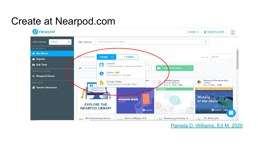# Create at Nearpod.com

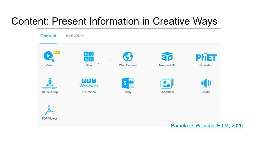## Content: Present Information in Creative Ways

| <b>Content</b>       | <b>Activities</b>       |                    |            |             |
|----------------------|-------------------------|--------------------|------------|-------------|
| Beta                 | AЬ<br>P.                | ٠                  | 30         | <b>PHET</b> |
| Video                | ٠<br>Slide              | <b>Web Content</b> | Nearpod 3D | Simulation  |
| nearpod DOVR         | <b>BBC</b><br>Worldwide | S<br>旨             |            | I))         |
| <b>VR Field Trip</b> | <b>BBC Video</b>        | Sway               | Slideshow  | Audio       |
| <b>PDF Viewer</b>    |                         |                    |            |             |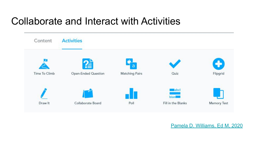#### Collaborate and Interact with Activities

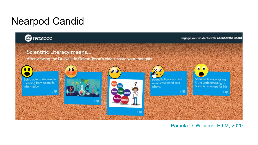### Nearpod Candid

#### *C* nearpod

#### Engage your students with Collaborate Board

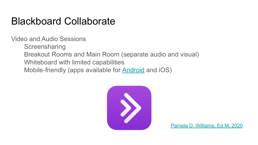#### Blackboard Collaborate

Video and Audio Sessions

**Screensharing** Breakout Rooms and Main Room (separate audio and visual) Whiteboard with limited capabilities Mobile-friendly (apps available for [Android](https://play.google.com/store/apps/details?id=com.blackboard.android.bbstudent&hl=en_US&gl=US) and [iOS\)](https://apps.apple.com/us/app/blackboard-collaborate-mobile/id546742528)

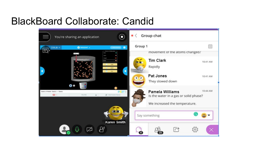#### BlackBoard Collaborate: Candid

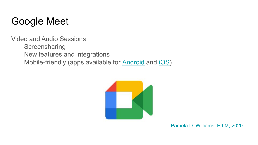# Google Meet

Video and Audio Sessions

**Screensharing** New features and integrations Mobile-friendly (apps available for [Android](https://play.google.com/store/apps/details?id=com.google.android.apps.meetings&hl=en_US&gl=US) and [iOS\)](https://apps.apple.com/us/app/google-meet/id1013231476)

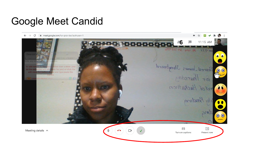# Google Meet Candid